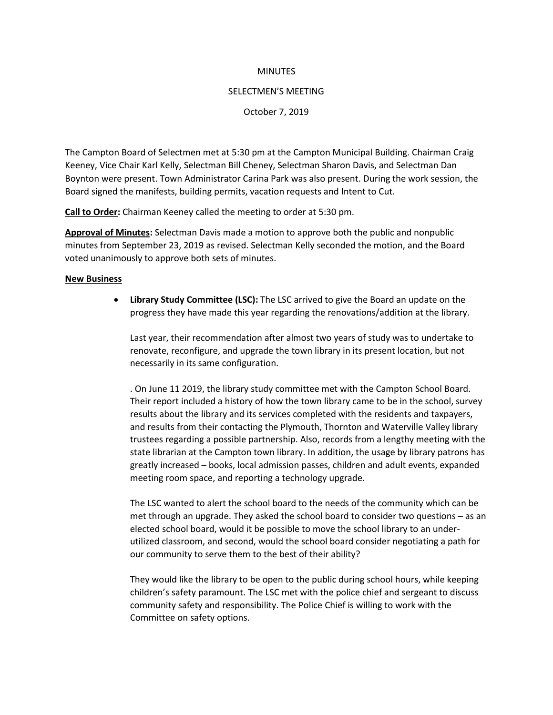### **MINUTES**

#### SELECTMEN'S MEETING

### October 7, 2019

The Campton Board of Selectmen met at 5:30 pm at the Campton Municipal Building. Chairman Craig Keeney, Vice Chair Karl Kelly, Selectman Bill Cheney, Selectman Sharon Davis, and Selectman Dan Boynton were present. Town Administrator Carina Park was also present. During the work session, the Board signed the manifests, building permits, vacation requests and Intent to Cut.

**Call to Order:** Chairman Keeney called the meeting to order at 5:30 pm.

**Approval of Minutes:** Selectman Davis made a motion to approve both the public and nonpublic minutes from September 23, 2019 as revised. Selectman Kelly seconded the motion, and the Board voted unanimously to approve both sets of minutes.

### **New Business**

• **Library Study Committee (LSC):** The LSC arrived to give the Board an update on the progress they have made this year regarding the renovations/addition at the library.

Last year, their recommendation after almost two years of study was to undertake to renovate, reconfigure, and upgrade the town library in its present location, but not necessarily in its same configuration.

. On June 11 2019, the library study committee met with the Campton School Board. Their report included a history of how the town library came to be in the school, survey results about the library and its services completed with the residents and taxpayers, and results from their contacting the Plymouth, Thornton and Waterville Valley library trustees regarding a possible partnership. Also, records from a lengthy meeting with the state librarian at the Campton town library. In addition, the usage by library patrons has greatly increased – books, local admission passes, children and adult events, expanded meeting room space, and reporting a technology upgrade.

The LSC wanted to alert the school board to the needs of the community which can be met through an upgrade. They asked the school board to consider two questions – as an elected school board, would it be possible to move the school library to an underutilized classroom, and second, would the school board consider negotiating a path for our community to serve them to the best of their ability?

They would like the library to be open to the public during school hours, while keeping children's safety paramount. The LSC met with the police chief and sergeant to discuss community safety and responsibility. The Police Chief is willing to work with the Committee on safety options.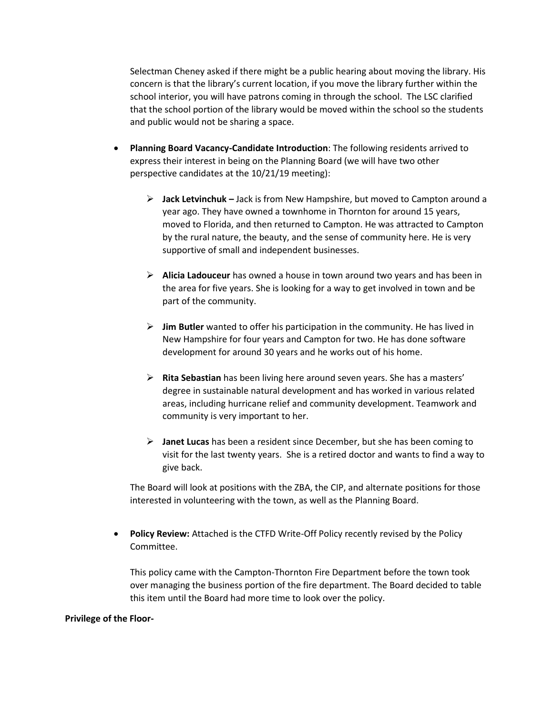Selectman Cheney asked if there might be a public hearing about moving the library. His concern is that the library's current location, if you move the library further within the school interior, you will have patrons coming in through the school. The LSC clarified that the school portion of the library would be moved within the school so the students and public would not be sharing a space.

- **Planning Board Vacancy-Candidate Introduction**: The following residents arrived to express their interest in being on the Planning Board (we will have two other perspective candidates at the 10/21/19 meeting):
	- ➢ **Jack Letvinchuk –** Jack is from New Hampshire, but moved to Campton around a year ago. They have owned a townhome in Thornton for around 15 years, moved to Florida, and then returned to Campton. He was attracted to Campton by the rural nature, the beauty, and the sense of community here. He is very supportive of small and independent businesses.
	- ➢ **Alicia Ladouceur** has owned a house in town around two years and has been in the area for five years. She is looking for a way to get involved in town and be part of the community.
	- ➢ **Jim Butler** wanted to offer his participation in the community. He has lived in New Hampshire for four years and Campton for two. He has done software development for around 30 years and he works out of his home.
	- ➢ **Rita Sebastian** has been living here around seven years. She has a masters' degree in sustainable natural development and has worked in various related areas, including hurricane relief and community development. Teamwork and community is very important to her.
	- ➢ **Janet Lucas** has been a resident since December, but she has been coming to visit for the last twenty years. She is a retired doctor and wants to find a way to give back.

The Board will look at positions with the ZBA, the CIP, and alternate positions for those interested in volunteering with the town, as well as the Planning Board.

• **Policy Review:** Attached is the CTFD Write-Off Policy recently revised by the Policy Committee.

This policy came with the Campton-Thornton Fire Department before the town took over managing the business portion of the fire department. The Board decided to table this item until the Board had more time to look over the policy.

### **Privilege of the Floor-**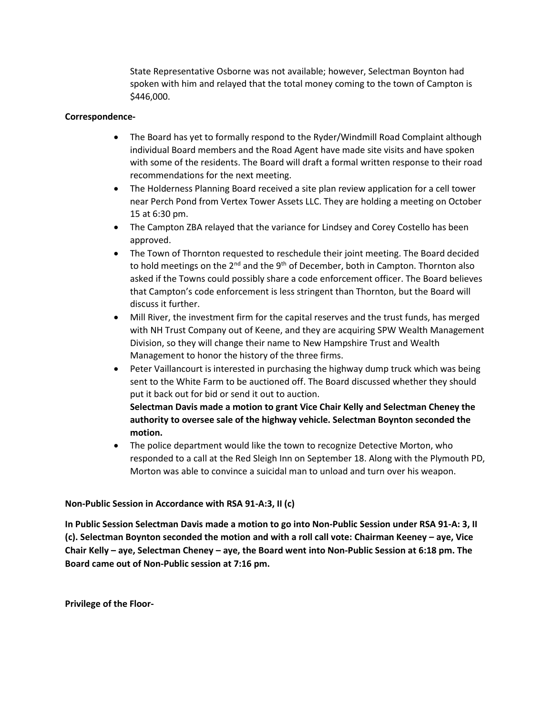State Representative Osborne was not available; however, Selectman Boynton had spoken with him and relayed that the total money coming to the town of Campton is \$446,000.

# **Correspondence-**

- The Board has yet to formally respond to the Ryder/Windmill Road Complaint although individual Board members and the Road Agent have made site visits and have spoken with some of the residents. The Board will draft a formal written response to their road recommendations for the next meeting.
- The Holderness Planning Board received a site plan review application for a cell tower near Perch Pond from Vertex Tower Assets LLC. They are holding a meeting on October 15 at 6:30 pm.
- The Campton ZBA relayed that the variance for Lindsey and Corey Costello has been approved.
- The Town of Thornton requested to reschedule their joint meeting. The Board decided to hold meetings on the  $2^{nd}$  and the 9<sup>th</sup> of December, both in Campton. Thornton also asked if the Towns could possibly share a code enforcement officer. The Board believes that Campton's code enforcement is less stringent than Thornton, but the Board will discuss it further.
- Mill River, the investment firm for the capital reserves and the trust funds, has merged with NH Trust Company out of Keene, and they are acquiring SPW Wealth Management Division, so they will change their name to New Hampshire Trust and Wealth Management to honor the history of the three firms.
- Peter Vaillancourt is interested in purchasing the highway dump truck which was being sent to the White Farm to be auctioned off. The Board discussed whether they should put it back out for bid or send it out to auction. **Selectman Davis made a motion to grant Vice Chair Kelly and Selectman Cheney the**

**authority to oversee sale of the highway vehicle. Selectman Boynton seconded the motion.**

• The police department would like the town to recognize Detective Morton, who responded to a call at the Red Sleigh Inn on September 18. Along with the Plymouth PD, Morton was able to convince a suicidal man to unload and turn over his weapon.

## **Non-Public Session in Accordance with RSA 91-A:3, II (c)**

**In Public Session Selectman Davis made a motion to go into Non-Public Session under RSA 91-A: 3, II (c). Selectman Boynton seconded the motion and with a roll call vote: Chairman Keeney – aye, Vice Chair Kelly – aye, Selectman Cheney – aye, the Board went into Non-Public Session at 6:18 pm. The Board came out of Non-Public session at 7:16 pm.** 

**Privilege of the Floor-**